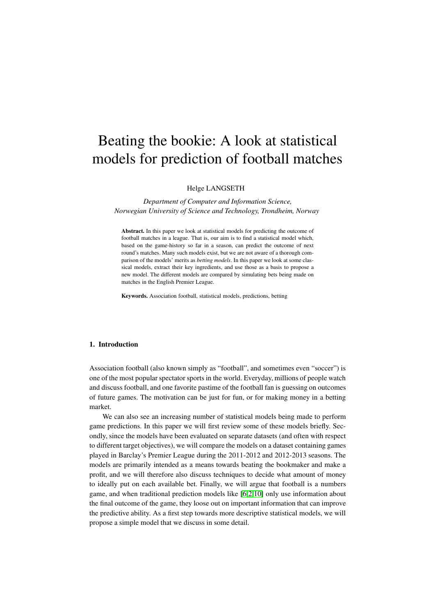# Beating the bookie: A look at statistical models for prediction of football matches

Helge LANGSETH

*Department of Computer and Information Science, Norwegian University of Science and Technology, Trondheim, Norway*

Abstract. In this paper we look at statistical models for predicting the outcome of football matches in a league. That is, our aim is to find a statistical model which, based on the game-history so far in a season, can predict the outcome of next round's matches. Many such models exist, but we are not aware of a thorough comparison of the models' merits as *betting models*. In this paper we look at some classical models, extract their key ingredients, and use those as a basis to propose a new model. The different models are compared by simulating bets being made on matches in the English Premier League.

Keywords. Association football, statistical models, predictions, betting

## 1. Introduction

Association football (also known simply as "football", and sometimes even "soccer") is one of the most popular spectator sports in the world. Everyday, millions of people watch and discuss football, and one favorite pastime of the football fan is guessing on outcomes of future games. The motivation can be just for fun, or for making money in a betting market.

We can also see an increasing number of statistical models being made to perform game predictions. In this paper we will first review some of these models briefly. Secondly, since the models have been evaluated on separate datasets (and often with respect to different target objectives), we will compare the models on a dataset containing games played in Barclay's Premier League during the 2011-2012 and 2012-2013 seasons. The models are primarily intended as a means towards beating the bookmaker and make a profit, and we will therefore also discuss techniques to decide what amount of money to ideally put on each available bet. Finally, we will argue that football is a numbers game, and when traditional prediction models like [\[6,](#page-9-0)[2,](#page-9-1)[10\]](#page-9-2) only use information about the final outcome of the game, they loose out on important information that can improve the predictive ability. As a first step towards more descriptive statistical models, we will propose a simple model that we discuss in some detail.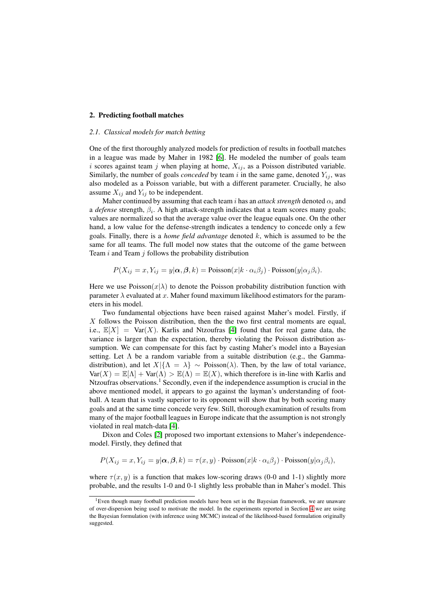# 2. Predicting football matches

#### *2.1. Classical models for match betting*

One of the first thoroughly analyzed models for prediction of results in football matches in a league was made by Maher in 1982 [\[6\]](#page-9-0). He modeled the number of goals team i scores against team j when playing at home,  $X_{ij}$ , as a Poisson distributed variable. Similarly, the number of goals *conceded* by team  $i$  in the same game, denoted  $Y_{ij}$ , was also modeled as a Poisson variable, but with a different parameter. Crucially, he also assume  $X_{ij}$  and  $Y_{ij}$  to be independent.

Maher continued by assuming that each team  $i$  has an *attack strength* denoted  $\alpha_i$  and a *defense* strength,  $\beta_i$ . A high attack-strength indicates that a team scores many goals; values are normalized so that the average value over the league equals one. On the other hand, a low value for the defense-strength indicates a tendency to concede only a few goals. Finally, there is a *home field advantage* denoted k, which is assumed to be the same for all teams. The full model now states that the outcome of the game between Team  $i$  and Team  $j$  follows the probability distribution

$$
P(X_{ij} = x, Y_{ij} = y | \alpha, \beta, k) = \text{Poisson}(x | k \cdot \alpha_i \beta_j) \cdot \text{Poisson}(y | \alpha_j \beta_i).
$$

Here we use  $Poisson(x|\lambda)$  to denote the Poisson probability distribution function with parameter  $\lambda$  evaluated at x. Maher found maximum likelihood estimators for the parameters in his model.

Two fundamental objections have been raised against Maher's model. Firstly, if X follows the Poisson distribution, then the the two first central moments are equal, i.e.,  $\mathbb{E}[X] = \text{Var}(X)$ . Karlis and Ntzoufras [\[4\]](#page-9-3) found that for real game data, the variance is larger than the expectation, thereby violating the Poisson distribution assumption. We can compensate for this fact by casting Maher's model into a Bayesian setting. Let  $\Lambda$  be a random variable from a suitable distribution (e.g., the Gammadistribution), and let  $X|\{\Lambda = \lambda\} \sim \text{Poisson}(\lambda)$ . Then, by the law of total variance,  $Var(X) = \mathbb{E}[\Lambda] + Var(\Lambda) > \mathbb{E}(\Lambda) = \mathbb{E}(X)$ , which therefore is in-line with Karlis and Ntzoufras observations.<sup>1</sup> Secondly, even if the independence assumption is crucial in the above mentioned model, it appears to go against the layman's understanding of football. A team that is vastly superior to its opponent will show that by both scoring many goals and at the same time concede very few. Still, thorough examination of results from many of the major football leagues in Europe indicate that the assumption is not strongly violated in real match-data [\[4\]](#page-9-3).

Dixon and Coles [\[2\]](#page-9-1) proposed two important extensions to Maher's independencemodel. Firstly, they defined that

$$
P(X_{ij} = x, Y_{ij} = y | \alpha, \beta, k) = \tau(x, y) \cdot \text{Poisson}(x | k \cdot \alpha_i \beta_j) \cdot \text{Poisson}(y | \alpha_j \beta_i),
$$

where  $\tau(x, y)$  is a function that makes low-scoring draws (0-0 and 1-1) slightly more probable, and the results 1-0 and 0-1 slightly less probable than in Maher's model. This

<sup>&</sup>lt;sup>1</sup>Even though many football prediction models have been set in the Bayesian framework, we are unaware of over-dispersion being used to motivate the model. In the experiments reported in Section [4](#page-4-0) we are using the Bayesian formulation (with inference using MCMC) instead of the likelihood-based formulation originally suggested.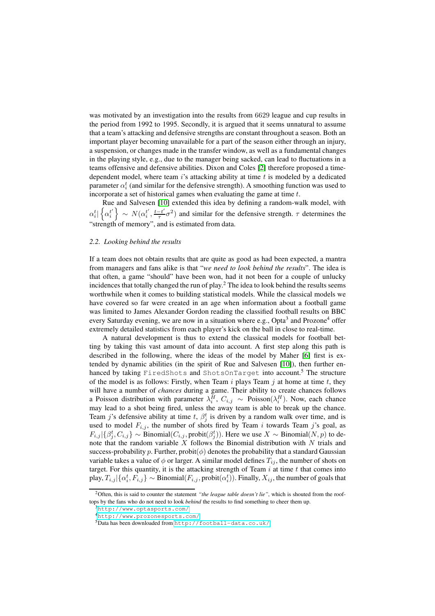was motivated by an investigation into the results from 6629 league and cup results in the period from 1992 to 1995. Secondly, it is argued that it seems unnatural to assume that a team's attacking and defensive strengths are constant throughout a season. Both an important player becoming unavailable for a part of the season either through an injury, a suspension, or changes made in the transfer window, as well as a fundamental changes in the playing style, e.g., due to the manager being sacked, can lead to fluctuations in a teams offensive and defensive abilities. Dixon and Coles [\[2\]](#page-9-1) therefore proposed a timedependent model, where team  $i$ 's attacking ability at time  $t$  is modeled by a dedicated parameter  $\alpha_i^t$  (and similar for the defensive strength). A smoothing function was used to incorporate a set of historical games when evaluating the game at time  $t$ .

Rue and Salvesen [\[10\]](#page-9-2) extended this idea by defining a random-walk model, with  $\alpha_i^t | \left\{ \alpha_i^{t'} \right.$  $\left\{ \begin{matrix} t' \ i' \end{matrix} \right\} \, \sim \, N(\alpha_i^{t'})$  $t', \frac{t-t'}{\tau}$  $\frac{-t'}{\tau} \sigma^2$ ) and similar for the defensive strength.  $\tau$  determines the "strength of memory", and is estimated from data.

#### <span id="page-2-0"></span>*2.2. Looking behind the results*

If a team does not obtain results that are quite as good as had been expected, a mantra from managers and fans alike is that "*we need to look behind the results*". The idea is that often, a game "should" have been won, had it not been for a couple of unlucky incidences that totally changed the run of play.<sup>2</sup> The idea to look behind the results seems worthwhile when it comes to building statistical models. While the classical models we have covered so far were created in an age when information about a football game was limited to James Alexander Gordon reading the classified football results on BBC every Saturday evening, we are now in a situation where e.g., Opta<sup>3</sup> and Prozone<sup>4</sup> offer extremely detailed statistics from each player's kick on the ball in close to real-time.

A natural development is thus to extend the classical models for football betting by taking this vast amount of data into account. A first step along this path is described in the following, where the ideas of the model by Maher [\[6\]](#page-9-0) first is extended by dynamic abilities (in the spirit of Rue and Salvesen [\[10\]](#page-9-2)), then further enhanced by taking FiredShots and ShotsOnTarget into account.<sup>5</sup> The structure of the model is as follows: Firstly, when Team i plays Team j at home at time t, they will have a number of *chances* during a game. Their ability to create chances follows a Poisson distribution with parameter  $\lambda_i^H$ ,  $C_{i,j}$  ∼ Poisson( $\lambda_i^H$ ). Now, each chance may lead to a shot being fired, unless the away team is able to break up the chance. Team j's defensive ability at time t,  $\beta_j^t$  is driven by a random walk over time, and is used to model  $F_{i,j}$ , the number of shots fired by Team i towards Team j's goal, as  $F_{i,j} | \{\beta_j^t, C_{i,j}\}\sim \text{Binomial}(C_{i,j}, \text{probit}(\beta_j^t))$ . Here we use  $X \sim \text{Binomial}(N, p)$  to denote that the random variable  $X$  follows the Binomial distribution with  $N$  trials and success-probability p. Further, probit $(\phi)$  denotes the probability that a standard Gaussian variable takes a value of  $\phi$  or larger. A similar model defines  $T_{ij}$ , the number of shots on target. For this quantity, it is the attacking strength of Team  $i$  at time  $t$  that comes into play,  $T_{i,j}|\{\alpha_i^t,F_{i,j}\}\sim\text{Binomial}(F_{i,j},\text{probit}(\alpha_i^t)).$  Finally,  $X_{ij},$  the number of goals that

<sup>&</sup>lt;sup>2</sup>Often, this is said to counter the statement "the league table doesn't lie", which is shouted from the rooftops by the fans who do not need to look *behind* the results to find something to cheer them up.

 ${}^{3}$ <http://www.optasports.com/>

<sup>4</sup><http://www.prozonesports.com/>

<sup>5</sup>Data has been downloaded from <http://football-data.co.uk/>.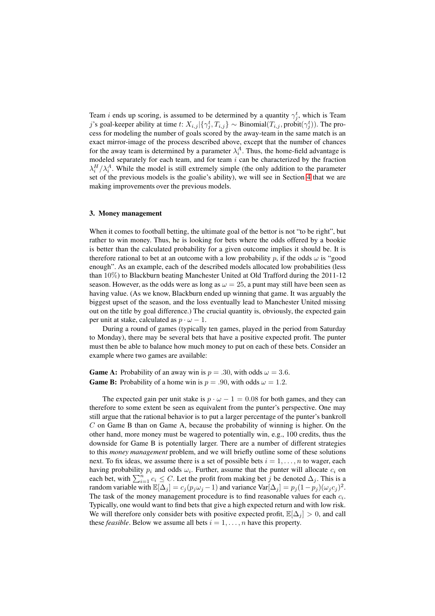Team *i* ends up scoring, is assumed to be determined by a quantity  $\gamma_j^t$ , which is Team j's goal-keeper ability at time t:  $X_{i,j} | \{\gamma_j^t, T_{i,j}\} \sim \text{Binomial}(T_{i,j}, \text{probit}(\gamma_j^t))$ . The process for modeling the number of goals scored by the away-team in the same match is an exact mirror-image of the process described above, except that the number of chances for the away team is determined by a parameter  $\lambda_i^A$ . Thus, the home-field advantage is modeled separately for each team, and for team  $i$  can be characterized by the fraction  $\lambda_i^H / \lambda_i^A$ . While the model is still extremely simple (the only addition to the parameter set of the previous models is the goalie's ability), we will see in Section [4](#page-4-0) that we are making improvements over the previous models.

# 3. Money management

When it comes to football betting, the ultimate goal of the bettor is not "to be right", but rather to win money. Thus, he is looking for bets where the odds offered by a bookie is better than the calculated probability for a given outcome implies it should be. It is therefore rational to bet at an outcome with a low probability p, if the odds  $\omega$  is "good enough". As an example, each of the described models allocated low probabilities (less than 10%) to Blackburn beating Manchester United at Old Trafford during the 2011-12 season. However, as the odds were as long as  $\omega = 25$ , a punt may still have been seen as having value. (As we know, Blackburn ended up winning that game. It was arguably the biggest upset of the season, and the loss eventually lead to Manchester United missing out on the title by goal difference.) The crucial quantity is, obviously, the expected gain per unit at stake, calculated as  $p \cdot \omega - 1$ .

During a round of games (typically ten games, played in the period from Saturday to Monday), there may be several bets that have a positive expected profit. The punter must then be able to balance how much money to put on each of these bets. Consider an example where two games are available:

**Game A:** Probability of an away win is  $p = .30$ , with odds  $\omega = 3.6$ . **Game B:** Probability of a home win is  $p = .90$ , with odds  $\omega = 1.2$ .

The expected gain per unit stake is  $p \cdot \omega - 1 = 0.08$  for both games, and they can therefore to some extent be seen as equivalent from the punter's perspective. One may still argue that the rational behavior is to put a larger percentage of the punter's bankroll  $C$  on Game B than on Game A, because the probability of winning is higher. On the other hand, more money must be wagered to potentially win, e.g., 100 credits, thus the downside for Game B is potentially larger. There are a number of different strategies to this *money management* problem, and we will briefly outline some of these solutions next. To fix ideas, we assume there is a set of possible bets  $i = 1, \ldots, n$  to wager, each having probability  $p_i$  and odds  $\omega_i$ . Further, assume that the punter will allocate  $c_i$  on each bet, with  $\sum_{i=1}^{n} c_i \leq C$ . Let the profit from making bet j be denoted  $\Delta_j$ . This is a random variable with  $\mathbb{E}[\Delta_j] = c_j (p_j \omega_j - 1)$  and variance Var $[\Delta_j] = p_j (1 - p_j) (\omega_j c_j)^2$ . The task of the money management procedure is to find reasonable values for each  $c_i$ . Typically, one would want to find bets that give a high expected return and with low risk. We will therefore only consider bets with positive expected profit,  $\mathbb{E}[\Delta_i] > 0$ , and call these *feasible*. Below we assume all bets  $i = 1, \ldots, n$  have this property.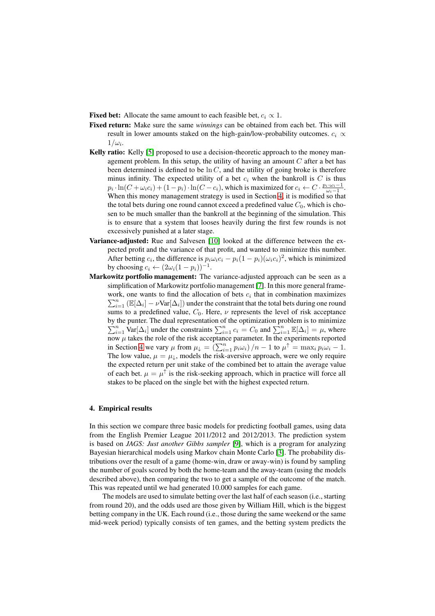- Fixed bet: Allocate the same amount to each feasible bet,  $c_i \propto 1$ .
- Fixed return: Make sure the same *winnings* can be obtained from each bet. This will result in lower amounts staked on the high-gain/low-probability outcomes.  $c_i \propto$  $1/\omega_i$ .
- Kelly ratio: Kelly [\[5\]](#page-9-4) proposed to use a decision-theoretic approach to the money management problem. In this setup, the utility of having an amount  $C$  after a bet has been determined is defined to be  $\ln C$ , and the utility of going broke is therefore minus infinity. The expected utility of a bet  $c_i$  when the bankroll is C is thus  $p_i \cdot \ln(C + \omega_i c_i) + (1 - p_i) \cdot \ln(C - c_i)$ , which is maximized for  $c_i \leftarrow C \cdot \frac{p_i \cdot \omega_i - 1}{\omega_i - 1}$ . When this money management strategy is used in Section [4,](#page-4-0) it is modified so that the total bets during one round cannot exceed a predefined value  $C_0$ , which is chosen to be much smaller than the bankroll at the beginning of the simulation. This is to ensure that a system that looses heavily during the first few rounds is not excessively punished at a later stage.
- Variance-adjusted: Rue and Salvesen [\[10\]](#page-9-2) looked at the difference between the expected profit and the variance of that profit, and wanted to minimize this number. After betting  $c_i$ , the difference is  $p_i \omega_i c_i - p_i (1 - p_i) (\omega_i c_i)^2$ , which is minimized by choosing  $c_i \leftarrow (2\omega_i(1-p_i))^{-1}$ .
- Markowitz portfolio management: The variance-adjusted approach can be seen as a simplification of Markowitz portfolio management [\[7\]](#page-9-5). In this more general framework, one wants to find the allocation of bets  $c_i$  that in combination maximizes  $\sum_{i=1}^{n}$  ( $\mathbb{E}[\Delta_i] - \nu \text{Var}[\Delta_i]$ ) under the constraint that the total bets during one round sums to a predefined value,  $C_0$ . Here,  $\nu$  represents the level of risk acceptance by the punter. The dual representation of the optimization p  $\sum$ the punter. The dual representation of the optimization problem is to minimize  $\sum_{i=1}^{n} \text{Var}[\Delta_i]$  under the constraints  $\sum_{i=1}^{n} c_i = C_0$  and  $\sum_{i=1}^{n} \mathbb{E}[\Delta_i] = \mu$ , where now  $\mu$  takes the role of the risk acceptance parameter. In the experiments reported in Section [4](#page-4-0) we vary  $\mu$  from  $\mu_{\downarrow} = (\sum_{i=1}^{n} p_i \omega_i)/n - 1$  to  $\mu^{\uparrow} = \max_i p_i \omega_i - 1$ . The low value,  $\mu = \mu_{\downarrow}$ , models the risk-aversive approach, were we only require the expected return per unit stake of the combined bet to attain the average value of each bet.  $\mu = \mu^{\uparrow}$  is the risk-seeking approach, which in practice will force all stakes to be placed on the single bet with the highest expected return.

### <span id="page-4-0"></span>4. Empirical results

In this section we compare three basic models for predicting football games, using data from the English Premier League 2011/2012 and 2012/2013. The prediction system is based on *JAGS: Just another Gibbs sampler* [\[9\]](#page-9-6), which is a program for analyzing Bayesian hierarchical models using Markov chain Monte Carlo [\[3\]](#page-9-7). The probability distributions over the result of a game (home-win, draw or away-win) is found by sampling the number of goals scored by both the home-team and the away-team (using the models described above), then comparing the two to get a sample of the outcome of the match. This was repeated until we had generated 10.000 samples for each game.

The models are used to simulate betting over the last half of each season (i.e., starting from round 20), and the odds used are those given by William Hill, which is the biggest betting company in the UK. Each round (i.e., those during the same weekend or the same mid-week period) typically consists of ten games, and the betting system predicts the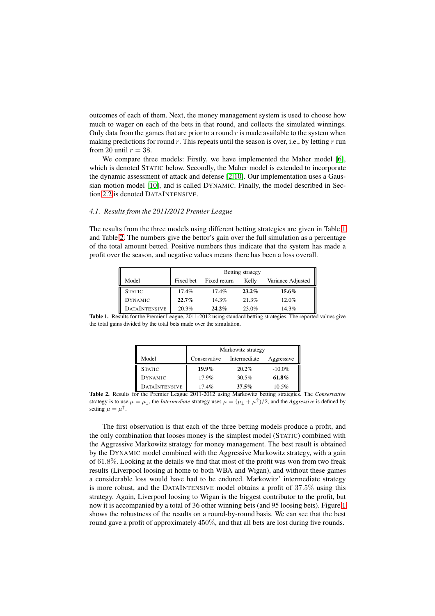outcomes of each of them. Next, the money management system is used to choose how much to wager on each of the bets in that round, and collects the simulated winnings. Only data from the games that are prior to a round  $r$  is made available to the system when making predictions for round r. This repeats until the season is over, i.e., by letting  $r$  run from 20 until  $r = 38$ .

We compare three models: Firstly, we have implemented the Maher model [\[6\]](#page-9-0), which is denoted STATIC below. Secondly, the Maher model is extended to incorporate the dynamic assessment of attack and defense [\[2,](#page-9-1)[10\]](#page-9-2). Our implementation uses a Gaussian motion model [\[10\]](#page-9-2), and is called DYNAMIC. Finally, the model described in Section [2.2](#page-2-0) is denoted DATAINTENSIVE.

## *4.1. Results from the 2011/2012 Premier League*

The results from the three models using different betting strategies are given in Table [1](#page-5-0) and Table [2.](#page-5-1) The numbers give the bettor's gain over the full simulation as a percentage of the total amount betted. Positive numbers thus indicate that the system has made a profit over the season, and negative values means there has been a loss overall.

|                      | Betting strategy |              |          |                   |  |
|----------------------|------------------|--------------|----------|-------------------|--|
| Model                | Fixed bet        | Fixed return | Kelly    | Variance Adjusted |  |
| <b>STATIC</b>        | 17.4%            | $17.4\%$     | $23.2\%$ | 15.6%             |  |
| <b>DYNAMIC</b>       | $22.7\%$         | 14.3%        | 21.3%    | 12.0%             |  |
| <b>DATAINTENSIVE</b> | 20.3%            | $24.2\%$     | 23.0%    | 14.3%             |  |

<span id="page-5-0"></span>Table 1. Results for the Premier League, 2011-2012 using standard betting strategies. The reported values give the total gains divided by the total bets made over the simulation.

|                      | Markowitz strategy |              |            |  |
|----------------------|--------------------|--------------|------------|--|
| Model                | Conservative       | Intermediate | Aggressive |  |
| <b>STATIC</b>        | $19.9\%$           | 20.2%        | $-10.0\%$  |  |
| <b>DYNAMIC</b>       | 17.9%              | 30.5%        | 61.8%      |  |
| <b>DATAINTENSIVE</b> | 17.4%              | 37.5%        | 10.5%      |  |

<span id="page-5-1"></span>Table 2. Results for the Premier League 2011-2012 using Markowitz betting strategies. The *Conservative* strategy is to use  $\mu = \mu_{\downarrow}$ , the *Intermediate* strategy uses  $\mu = (\mu_{\downarrow} + \mu^{\uparrow})/2$ , and the *Aggressive* is defined by setting  $\mu = \mu^{\uparrow}$ .

The first observation is that each of the three betting models produce a profit, and the only combination that looses money is the simplest model (STATIC) combined with the Aggressive Markowitz strategy for money management. The best result is obtained by the DYNAMIC model combined with the Aggressive Markowitz strategy, with a gain of 61.8%. Looking at the details we find that most of the profit was won from two freak results (Liverpool loosing at home to both WBA and Wigan), and without these games a considerable loss would have had to be endured. Markowitz' intermediate strategy is more robust, and the DATAINTENSIVE model obtains a profit of 37.5% using this strategy. Again, Liverpool loosing to Wigan is the biggest contributor to the profit, but now it is accompanied by a total of 36 other winning bets (and 95 loosing bets). Figure [1](#page-6-0) shows the robustness of the results on a round-by-round basis. We can see that the best round gave a profit of approximately 450%, and that all bets are lost during five rounds.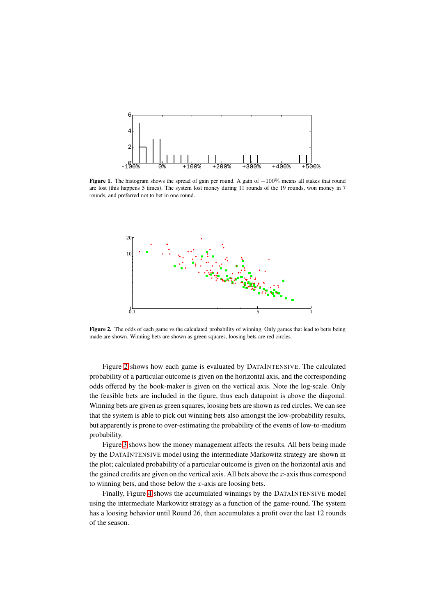

<span id="page-6-0"></span>Figure 1. The histogram shows the spread of gain per round. A gain of −100% means all stakes that round are lost (this happens 5 times). The system lost money during 11 rounds of the 19 rounds, won money in 7 rounds, and preferred not to bet in one round.



<span id="page-6-1"></span>Figure 2. The odds of each game vs the calculated probability of winning. Only games that lead to betts being made are shown. Winning bets are shown as green squares, loosing bets are red circles.

Figure [2](#page-6-1) shows how each game is evaluated by DATAINTENSIVE. The calculated probability of a particular outcome is given on the horizontal axis, and the corresponding odds offered by the book-maker is given on the vertical axis. Note the log-scale. Only the feasible bets are included in the figure, thus each datapoint is above the diagonal. Winning bets are given as green squares, loosing bets are shown as red circles. We can see that the system is able to pick out winning bets also amongst the low-probability results, but apparently is prone to over-estimating the probability of the events of low-to-medium probability.

Figure [3](#page-7-0) shows how the money management affects the results. All bets being made by the DATAINTENSIVE model using the intermediate Markowitz strategy are shown in the plot; calculated probability of a particular outcome is given on the horizontal axis and the gained credits are given on the vertical axis. All bets above the  $x$ -axis thus correspond to winning bets, and those below the  $x$ -axis are loosing bets.

Finally, Figure [4](#page-7-1) shows the accumulated winnings by the DATAINTENSIVE model using the intermediate Markowitz strategy as a function of the game-round. The system has a loosing behavior until Round 26, then accumulates a profit over the last 12 rounds of the season.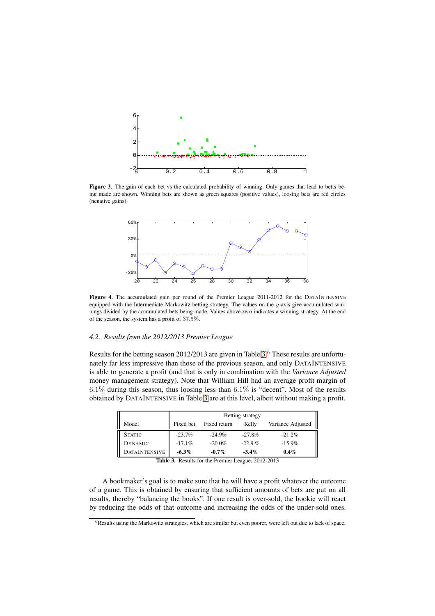

Figure 3. The gain of each bet vs the calculated probability of winning. Only games that lead to betts being made are shown. Winning bets are shown as green squares (positive values), loosing bets are red circles (negative gains).

<span id="page-7-0"></span>

<span id="page-7-1"></span>Figure 4. The accumulated gain per round of the Premier League 2011-2012 for the DATAINTENSIVE equipped with the Intermediate Markowitz betting strategy. The values on the  $y$ -axis give accumulated winnings divided by the accumulated bets being made. Values above zero indicates a winning strategy. At the end of the season, the system has a profit of 37.5%.

# *4.2. Results from the 2012/2013 Premier League*

Results for the betting season 2012/2013 are given in Table [3.](#page-7-2)<sup>6</sup> These results are unfortunately far less impressive than those of the previous season, and only DATAINTENSIVE is able to generate a profit (and that is only in combination with the *Variance Adjusted* money management strategy). Note that William Hill had an average profit margin of  $6.1\%$  during this season, thus loosing less than  $6.1\%$  is "decent". Most of the results obtained by DATAINTENSIVE in Table [3](#page-7-2) are at this level, albeit without making a profit.

|                      | Betting strategy |                       |          |                   |  |
|----------------------|------------------|-----------------------|----------|-------------------|--|
| Model                | Fixed bet        | Fixed return<br>Kelly |          | Variance Adjusted |  |
| <b>STATIC</b>        | $-23.7\%$        | $-24.9\%$             | $-27.8%$ | $-21.2%$          |  |
| <b>DYNAMIC</b>       | $-17.1%$         | $-20.0\%$             | $-22.9%$ | $-15.9\%$         |  |
| <b>DATAINTENSIVE</b> | $-6.3\%$         | $-0.7\%$              | $-3.4\%$ | $0.4\%$           |  |

<span id="page-7-2"></span>Table 3. Results for the Premier League, 2012-2013

A bookmaker's goal is to make sure that he will have a profit whatever the outcome of a game. This is obtained by ensuring that sufficient amounts of bets are put on all results, thereby "balancing the books". If one result is over-sold, the bookie will react by reducing the odds of that outcome and increasing the odds of the under-sold ones.

<sup>&</sup>lt;sup>6</sup>Results using the Markowitz strategies, which are similar but even poorer, were left out due to lack of space.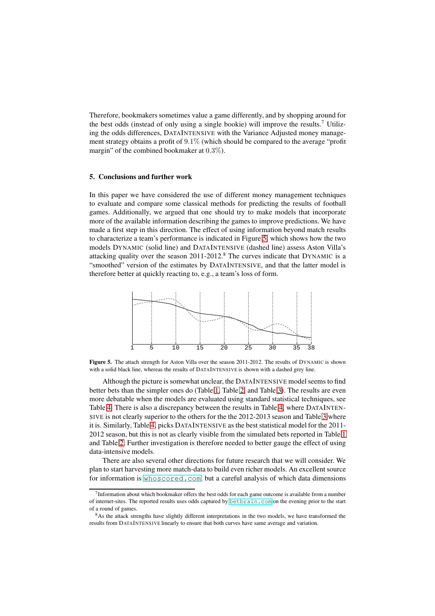Therefore, bookmakers sometimes value a game differently, and by shopping around for the best odds (instead of only using a single bookie) will improve the results.<sup>7</sup> Utilizing the odds differences, DATAINTENSIVE with the Variance Adjusted money management strategy obtains a profit of 9.1% (which should be compared to the average "profit margin" of the combined bookmaker at 0.3%).

#### 5. Conclusions and further work

In this paper we have considered the use of different money management techniques to evaluate and compare some classical methods for predicting the results of football games. Additionally, we argued that one should try to make models that incorporate more of the available information describing the games to improve predictions. We have made a first step in this direction. The effect of using information beyond match results to characterize a team's performance is indicated in Figure [5,](#page-8-0) which shows how the two models DYNAMIC (solid line) and DATAINTENSIVE (dashed line) assess Aston Villa's attacking quality over the season  $2011$ - $2012$ .<sup>8</sup> The curves indicate that DYNAMIC is a "smoothed" version of the estimates by DATAINTENSIVE, and that the latter model is therefore better at quickly reacting to, e.g., a team's loss of form.



<span id="page-8-0"></span>Figure 5. The attach strength for Aston Villa over the season 2011-2012. The results of DYNAMIC is shown with a solid black line, whereas the results of DATAINTENSIVE is shown with a dashed grey line.

Although the picture is somewhat unclear, the DATAINTENSIVE model seems to find better bets than the simpler ones do (Table [1,](#page-5-0) Table [2,](#page-5-1) and Table [3\)](#page-7-2). The results are even more debatable when the models are evaluated using standard statistical techniques, see Table [4.](#page-9-8) There is also a discrepancy between the results in Table [4,](#page-9-8) where DATAINTEN-SIVE is not clearly superior to the others for the the 2012-2013 season and Table [3](#page-7-2) where it is. Similarly, Table [4,](#page-9-8) picks DATAINTENSIVE as the best statistical model for the 2011- 2012 season, but this is not as clearly visible from the simulated bets reported in Table [1](#page-5-0) and Table [2.](#page-5-1) Further investigation is therefore needed to better gauge the effect of using data-intensive models.

There are also several other directions for future research that we will consider. We plan to start harvesting more match-data to build even richer models. An excellent source for information is <whoscored.com>, but a careful analysis of which data dimensions

<sup>&</sup>lt;sup>7</sup> Information about which bookmaker offers the best odds for each game outcome is available from a number of internet-sites. The reported results uses odds captured by <betbrain.com> on the evening prior to the start of a round of games.

<sup>&</sup>lt;sup>8</sup>As the attack strengths have slightly different interpretations in the two models, we have transformed the results from DATAINTENS IVE linearly to ensure that both curves have same average and variation.